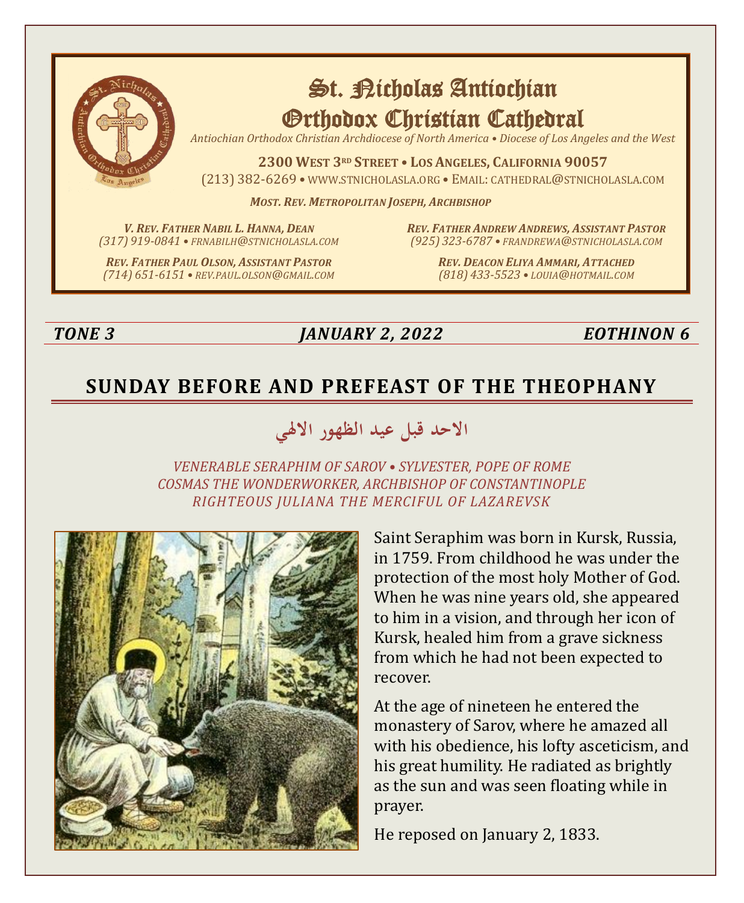

# St. Richolas Antiochian Orthodox Christian Cathedral

*Antiochian Orthodox Christian Archdiocese of North America • Diocese of Los Angeles and the West*

**2300 WEST 3RD STREET • LOS ANGELES, CALIFORNIA 90057** (213) 382-6269 • WWW.STNICHOLASLA.ORG • EMAIL: CATHEDRAL@STNICHOLASLA.COM

*MOST. REV. METROPOLITAN JOSEPH, ARCHBISHOP*

*V. REV. FATHER NABIL L. HANNA, DEAN (317) 919-0841 • FRNABILH@STNICHOLASLA.COM* *REV. FATHER ANDREW ANDREWS, ASSISTANT PASTOR (925) 323-6787 • FRANDREWA@STNICHOLASLA.COM*

*REV. FATHER PAUL OLSON, ASSISTANT PASTOR (714) 651-6151 • REV.PAUL.OLSON@GMAIL.COM* *REV. DEACON ELIYA AMMARI, ATTACHED (818) 433-5523 • LOUIA@HOTMAIL.COM*

### *TONE 3 JANUARY 2, 2022 EOTHINON 6*

# **SUNDAY BEFORE AND PREFEAST OF THE THEOPHANY**

# **االحد قبل عيد الظهور ا الهلي**

*VENERABLE SERAPHIM OF SAROV • SYLVESTER, POPE OF ROME COSMAS THE WONDERWORKER, ARCHBISHOP OF CONSTANTINOPLE RIGHTEOUS JULIANA THE MERCIFUL OF LAZAREVSK*



Saint Seraphim was born in Kursk, Russia, in 1759. From childhood he was under the protection of the most holy Mother of God. When he was nine years old, she appeared to him in a vision, and through her icon of Kursk, healed him from a grave sickness from which he had not been expected to recover.

At the age of nineteen he entered the monastery of Sarov, where he amazed all with his obedience, his lofty asceticism, and his great humility. He radiated as brightly as the sun and was seen floating while in prayer.

He reposed on January 2, 1833.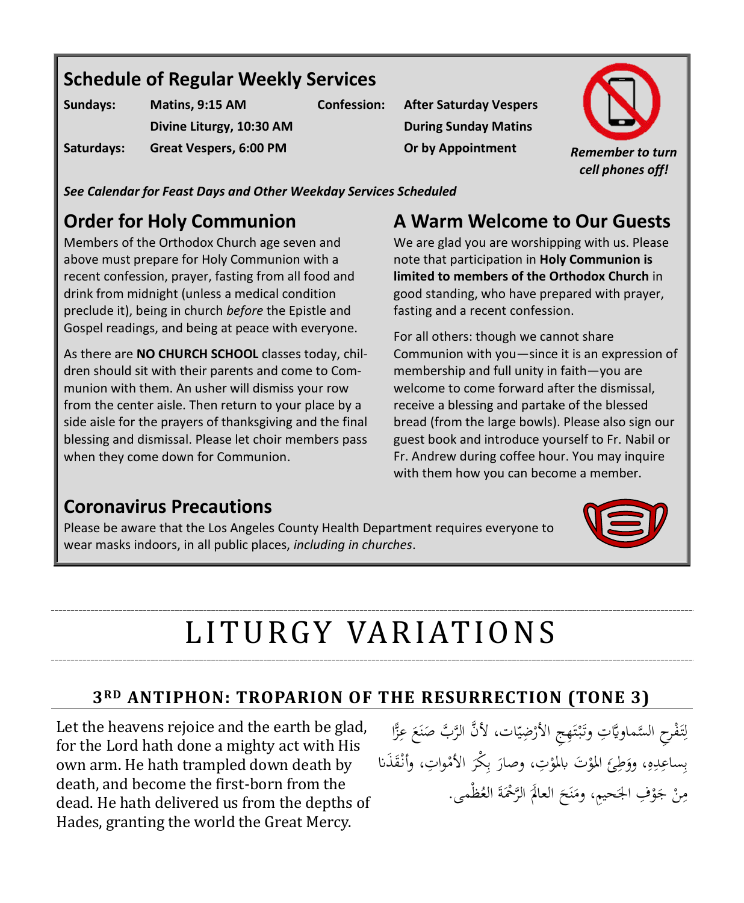# **Schedule of Regular Weekly Services**

| Sundays:   | Matins, 9:15 AM          |
|------------|--------------------------|
|            | Divine Liturgy, 10:30 AM |
| Saturdays: | Great Vespers, 6:00 PM   |

**Confession: After Saturday Vespers During Sunday Matins**



*See Calendar for Feast Days and Other Weekday Services Scheduled*

# **Order for Holy Communion**

Members of the Orthodox Church age seven and above must prepare for Holy Communion with a recent confession, prayer, fasting from all food and drink from midnight (unless a medical condition preclude it), being in church *before* the Epistle and Gospel readings, and being at peace with everyone.

As there are **NO CHURCH SCHOOL** classes today, children should sit with their parents and come to Communion with them. An usher will dismiss your row from the center aisle. Then return to your place by a side aisle for the prayers of thanksgiving and the final blessing and dismissal. Please let choir members pass when they come down for Communion.

# **A Warm Welcome to Our Guests**

We are glad you are worshipping with us. Please note that participation in **Holy Communion is limited to members of the Orthodox Church** in good standing, who have prepared with prayer, fasting and a recent confession.

For all others: though we cannot share Communion with you—since it is an expression of membership and full unity in faith—you are welcome to come forward after the dismissal, receive a blessing and partake of the blessed bread (from the large bowls). Please also sign our guest book and introduce yourself to Fr. Nabil or Fr. Andrew during coffee hour. You may inquire with them how you can become a member.

## **Coronavirus Precautions**

Please be aware that the Los Angeles County Health Department requires everyone to wear masks indoors, in all public places, *including in churches*.



# LI T U RGY VA R I AT I O N S

### **3RD ANTIPHON: TROPARION OF THE RESURRECTION (TONE 3)**

Let the heavens rejoice and the earth be glad, for the Lord hath done a mighty act with His own arm. He hath trampled down death by death, and become the first-born from the dead. He hath delivered us from the depths of Hades, granting the world the Great Mercy.

تَفْرِح السَّماويَّاتِ وتَبْتَهِجِ الأَرْضِيّات، لأَنَّ الرَّبَّ صَنَعَ عِزًّا  $\zeta$ ن  $\ddot{\phantom{0}}$ ر<br>ا **ئ**ر ت **ٔ** ة<br>أ ;ّ ِ ل بِساعِدِهِ، ووَطِئَ المؤتِ، وصارَ بِكْرَ الأمْواتِ، وأَنْقَذَنا ا*ل*م ر<br>ا ِ ب ر<br>ا ْ أ َ ِ ب مِنْ جَوْفِ الجَحيمِ، ومَنَحَ العالَمَ الرَّحْمَةَ العُظْمى.  $\left($  $\zeta$ ن َ <u>ٔ</u> .<br>.  $\ddot{\phantom{a}}$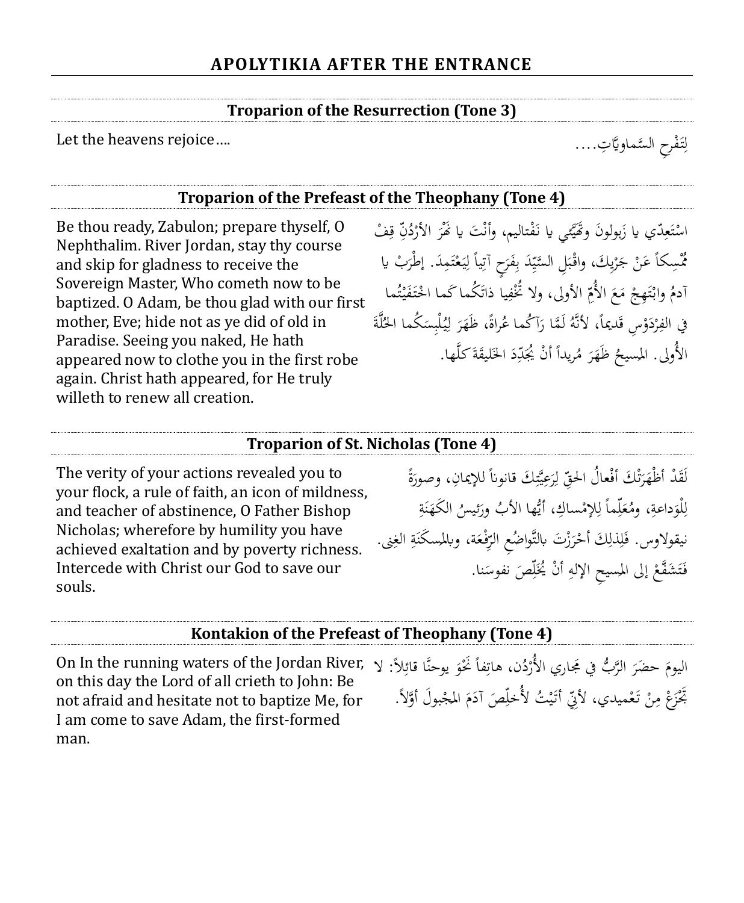### **Troparion of the Resurrection (Tone 3)**

Let the heavens rejoice....

### **Troparion of the Prefeast of the Theophany (Tone 4)**

Be thou ready, Zabulon; prepare thyself, O Nephthalim. River Jordan, stay thy course and skip for gladness to receive the Sovereign Master, Who cometh now to be baptized. O Adam, be thou glad with our first mother, Eve; hide not as ye did of old in Paradise. Seeing you naked, He hath appeared now to clothe you in the first robe again. Christ hath appeared, for He truly willeth to renew all creation.

اسْتَعِدّي يا زَبولونَ وتَحَيَّمي يا نَفْتاليم، وأنْتَ يا نَّفْرَ الأَرْدُنِّ قِفْ ِ ر<br>( ر<br>ا .<br>. .<br>م ن<br>يا َ ِ **ئ**ر ت **ـ** ر<br>: مُّسِكاً عَنْ جَرْيِكَ، واقْبَلِ السَّيِّدَ بِفَرَحٍ آتِياً لِيَعْتَمِدَ. إطْرَبْ يا<br>\* ِ ب ٍ<br>ا  $\ddot{\cdot}$ ر<br>أ **م**<br>. ت ْ  $\ddot{\phantom{0}}$ ِ<br>بَا أدمُ وابْتَهِجْ مَعَ الأُمِّ الأولى، ولا تُخْفِيا ذاتَكُما كَما احْتَفَيْتُما ت **∶** .<br>م ة<br>أ ِ<br>ق ِ  $\zeta$  $\mathbf{A}$ <u>֧֝</u> ة<br>أ ت <u>ٔ</u> <u>:</u> في الفِرْدَوْسِ قَديماً، لأَنَّهُ لَمَّا رَآكُما عُراةً، ظَهَرَ لِيُلْبِسَكُما الحُلَّةَ<br>. ر<br>أ ِ ة<br>م  $\ddot{\phantom{0}}$ ِ<br>ئا ل ر<br>. َ ر<br>ا ْ ا  $\ddot{\phantom{0}}$ الأُولى. المسيحُ ظَهَرَ مُريداً أنْ يُجَدِّدَ الخَليقَةَ كلَّها. أ  $\overline{a}$ ر<br>ا َ .<br>م

### **Troparion of St. Nicholas (Tone 4)**

The verity of your actions revealed you to your flock, a rule of faith, an icon of mildness, and teacher of abstinence, O Father Bishop Nicholas; wherefore by humility you have achieved exaltation and by poverty richness. Intercede with Christ our God to save our souls.

لَقَدْ أظْهَرَتْكَ أفْعالُ الحقِّ لِرَعِيَّتِكَ قانوناً للإيمانِ، وصورَةً ِ ي .<br>ر ِ<br>لہٰ ل ِ ت ر<br>. َ َ <u>بة</u> لْوَداعةِ، ومُعَلِّماً لِلإِمْساكِ، أَيُّها الأَبُ ورَئيسُ الكَهَنَةِ<br>. .<br>ا ن َ َ ِ ٳٚ َ **تة** َ ِ ل نيقولاوس. فَلِذَلِكَ أَحْرَزْتَ بالتَّواضُعِ الرِّفْعَة، وبالمسكَنَةِ الغِنى. ر<br>. ْ ِ ِ َ ِ ٍ<br>نه  $\ddot{\phantom{0}}$ َ ِ فَتَشَفَّعْ إلى المسيحِ الإلهِ أَنْ يُخَلِّصَ نفوسَنا. ٔ<br>ا ٳٚ أ ⊿<br>≀ **ٔ** ت َ

#### **Kontakion of the Prefeast of Theophany (Tone 4)**

On In the running waters of the Jordan River, إِنَّ الْمُجْمَّرِ الرَّبُّ فِي مَجَارِي الأُرْدُن، هَاتِفاً نُخْوَ يوحنَّا قَائِلاً: لا<br>on this dav the Lord of all crieth to Iohn: Be on this day the Lord of all crieth to John: Be not afraid and hesitate not to baptize Me, for I am come to save Adam, the first-formed man.

َ ِ ر<br>أ ر<br>ا بَّخْزَعْ مِنْ تَعْميدي، لأَنِّي أَتَيْتُ لأُخلِّصَ آدَمَ المجْبولَ أَوَّلاً. .<br>. َ <u>:</u> ٳٚ ي َ :<br>-ِم

لِتَفْرِحِ السَّماويَّاتِ....

ٌ<br>أ ِ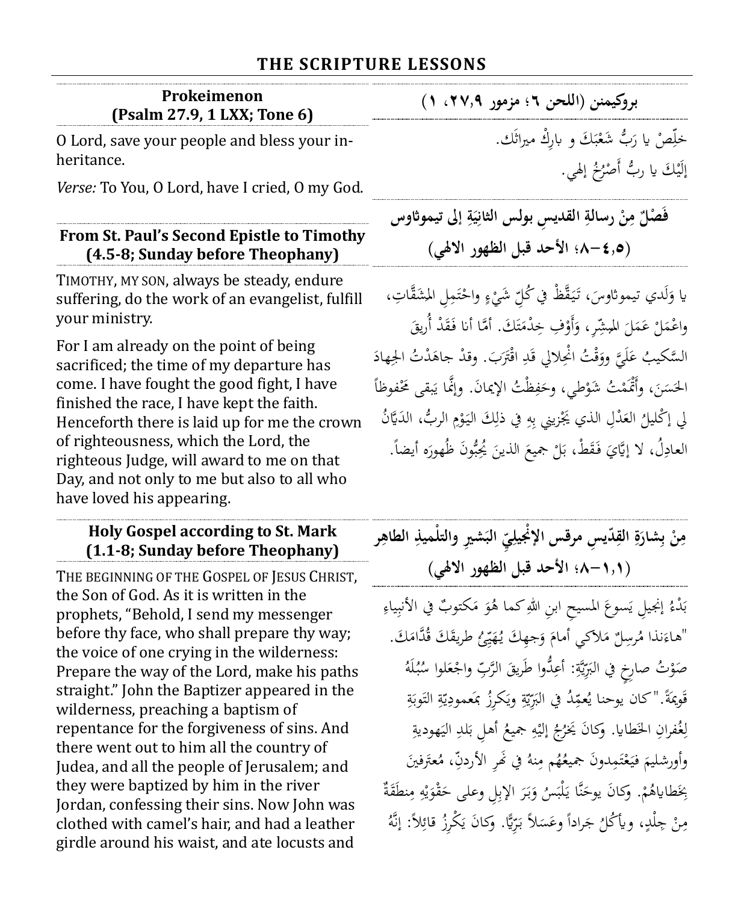### **THE SCRIPTURE LESSONS**

| Prokeimenon<br>(Psalm 27.9, 1 LXX; Tone 6)                                                                                                                                                                                                                                                                                                                                                      | بروكيمنن (اللحن ٢؛ مزمور ٢٧,٩، ١)                                                                                                                                                                                                                                                                                             |
|-------------------------------------------------------------------------------------------------------------------------------------------------------------------------------------------------------------------------------------------------------------------------------------------------------------------------------------------------------------------------------------------------|-------------------------------------------------------------------------------------------------------------------------------------------------------------------------------------------------------------------------------------------------------------------------------------------------------------------------------|
| O Lord, save your people and bless your in-<br>heritance.                                                                                                                                                                                                                                                                                                                                       | خلِّصْ يا رَبُّ شَعْبَكَ و باركْ ميراثَك.<br>إِلَيْكَ يا رِبُّ أَصْرُخُ إِلَهِي.                                                                                                                                                                                                                                              |
| Verse: To You, O Lord, have I cried, O my God.                                                                                                                                                                                                                                                                                                                                                  |                                                                                                                                                                                                                                                                                                                               |
| From St. Paul's Second Epistle to Timothy<br>(4.5-8; Sunday before Theophany)                                                                                                                                                                                                                                                                                                                   | فَصْلٌ مِنْ رسالةِ القديس بولس الثانِيَةِ إلى تيموثاوس<br>(6, 1-A؛ الأحد قبل الظهور الالهي)                                                                                                                                                                                                                                   |
| TIMOTHY, MY SON, always be steady, endure<br>suffering, do the work of an evangelist, fulfill<br>your ministry.                                                                                                                                                                                                                                                                                 | يا وَلَدي تيموثاوسَ، تَيَقَّظْ في كُلّ شَيْءٍ واحْتَمِل المِشَقَّاتِ،<br>واعْمَلْ عَمَلَ المُبِشِّر، وَأَوْفِ خِدْمَتَكَ. أَمَّا أنا فَقَدْ أُرِيقَ                                                                                                                                                                           |
| For I am already on the point of being<br>sacrificed; the time of my departure has<br>come. I have fought the good fight, I have<br>finished the race, I have kept the faith.<br>Henceforth there is laid up for me the crown<br>of righteousness, which the Lord, the<br>righteous Judge, will award to me on that<br>Day, and not only to me but also to all who<br>have loved his appearing. | السَّكيبُ عَلَيَّ ووَقْتُ انْحِلالي قَدِ اقْتَرَبَ. وقدْ جاهَدْتُ الجِهادَ<br>الحَسَنَ، وأَتْمَمْتُ شَوْطي، وحَفِظْتُ الإيمانَ. وإنَّما يَبقى مَحْفوظاً<br>لِي إِكْلِيلُ العَدْلِ الذي يَجْزِينِي بِهِ فِي ذَلِكَ الْيَوْمِ الرِّبُّ، الدَيَّانُ<br>العادِلُ، لا إِيَّايَ فَقَطْ، بَلْ جميعَ الذينَ يُحِبُّونَ ظُهورَه أيضاً. |

### **Holy Gospel according to St. Mark (1.1-8; Sunday before Theophany)**

THE BEGINNING OF THE GOSPEL OF JESUS CHRIST, the Son of God. As it is written in the prophets, "Behold, I send my messenger before thy face, who shall prepare thy way; the voice of one crying in the wilderness: Prepare the way of the Lord, make his paths straight." John the Baptizer appeared in the wilderness, preaching a baptism of repentance for the forgiveness of sins. And there went out to him all the country of Judea, and all the people of Jerusalem; and they were baptized by him in the river Jordan, confessing their sins. Now John was clothed with camel's hair, and had a leather girdle around his waist, and ate locusts and

مِنْ بِشارَةِ القِدّيسِ مرقس الإنْجيلِيِّ البَشيرِ والتلْميذِ الطاهِر **ِ ِ َ ب ْ ِ ِ )8-1.1؛ األحد قبل الظهور االهلي(** 

بَدْءُ إنجيلِ يَسوعَ المسيحِ ابنِ اللهِ كما هُوَ مَكتوبٌ في الأنبِياءِ ب<br>: َ ِ " نذا هاء ل رسِ ُ م لكي م َك أمام َجِه و ُ ّئ ه ُ َ َك ي َ َك طريق َّدام ُ ق . </sub> َ َ ٟ ي َ صَوْتُ صارِخٍ في البَرِّيَّةِ: أُعِدُّوا طَريقَ الرَّبِّ واجْعَلوا سُبُلَهُ  $\ddot{\phantom{0}}$ ہ<br>ا ي َ َ **ٔ** ة<br>م قَويمَةً."كان يوحنا يُعمِّدُ في البَرِّيّةِ ويَكرِزُ بمَعمودِيّةِ التَوبَةِ ا ِ<br>م ہ<br>ا ي ِ ٍ<br>نه ر<br>ي <u>ِ</u> <u>بة</u> با<br>. لِغُفرانِ الخَطايا. وَكَانَ يَخرُجُ إليْهِ جميعُ أهلِ بَلدِ اليَهوديةِ ِ **ٔ** ِ ب <u>بة</u>  $\ddot{\phantom{0}}$ َ وَأُورشليمَ فَيَعْتَمِدُونَ جميعُهُم مِنهُ فِي نَهْرِ الأَردنِّ، مُعتَرفينَ ت ْ  $\ddot{\phantom{0}}$ ِ ï ْ بِخَطاياهُمْ. وَكانَ يوحَنَّا يَلْبَسُ وَبَرَ الإِبِلِ وعلى حَقْوَيْهِ مِنطَقَةٌ ۚ<br>\* ِ یہ<br>: ر<br>ا َ ِ ِ اب<br>ا ي َ َ ِم∕ .<br>-مِنْ جِلْدٍ، ويأْكُلُ جَراداً وعَسَلاً بَرِّيًّا. وَكانَ يَكْرِزُ قائِلاً: إنَّهُ ِم∕ .<br>.  $\ddot{\phantom{0}}$ ب<br>: ب<br>: ي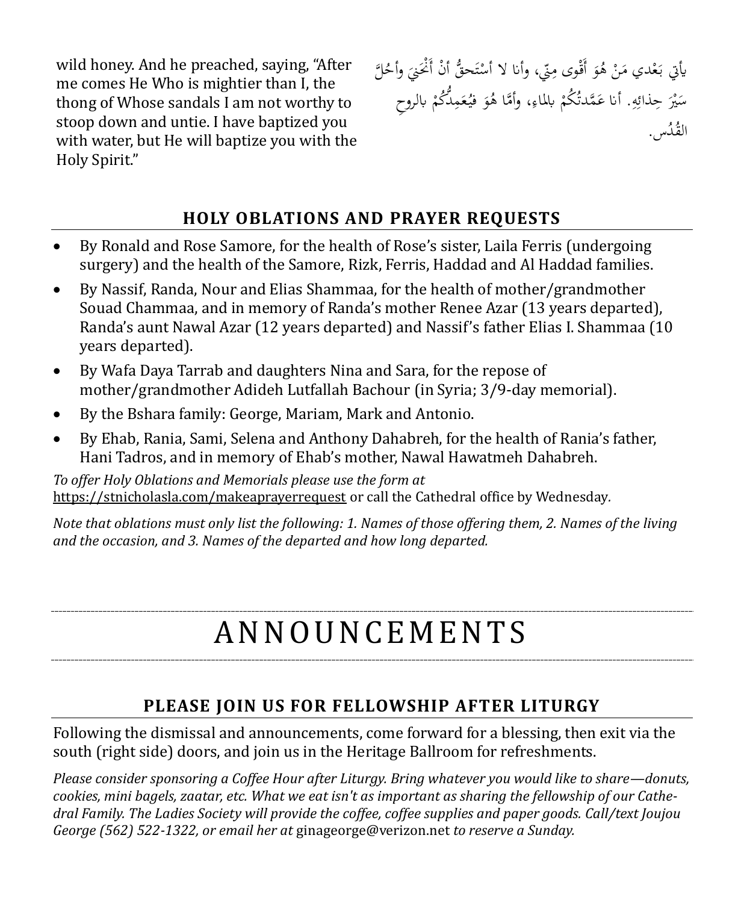wild honey. And he preached, saying, "After me comes He Who is mightier than I, the thong of Whose sandals I am not worthy to stoop down and untie. I have baptized you with water, but He will baptize you with the Holy Spirit."

يأتي بَعْدي مَنْ هُوَ أَقْوى مِنّي، وأنا لا أَسْتَحقُّ أَنْ أَنْحَنِيَ وأَحُلَّ َ <u>:</u>  $\overline{\phantom{a}}$ َ ;ّ ت **ٔ**  $\ddot{\phantom{0}}$  $\ddot{\phantom{0}}$ سَيْرَ حِذائِهِ. أنا عَمَّدتُكُمْ بالماءِ، وأمَّا هُوَ فيُعَمِدُّكُمْ بالروحِ .<br>ا ْ ِ ِ  $\frac{1}{2}$ ِ َ ْ َ القُدُس.

### **HOLY OBLATIONS AND PRAYER REQUESTS**

- By Ronald and Rose Samore, for the health of Rose's sister, Laila Ferris (undergoing surgery) and the health of the Samore, Rizk, Ferris, Haddad and Al Haddad families.
- By Nassif, Randa, Nour and Elias Shammaa, for the health of mother/grandmother Souad Chammaa, and in memory of Randa's mother Renee Azar (13 years departed), Randa's aunt Nawal Azar (12 years departed) and Nassif's father Elias I. Shammaa (10 years departed).
- By Wafa Daya Tarrab and daughters Nina and Sara, for the repose of mother/grandmother Adideh Lutfallah Bachour (in Syria; 3/9-day memorial).
- By the Bshara family: George, Mariam, Mark and Antonio.
- By Ehab, Rania, Sami, Selena and Anthony Dahabreh, for the health of Rania's father, Hani Tadros, and in memory of Ehab's mother, Nawal Hawatmeh Dahabreh.

*To offer Holy Oblations and Memorials please use the form at*  <https://stnicholasla.com/makeaprayerrequest> or call the Cathedral office by Wednesday*.* 

*Note that oblations must only list the following: 1. Names of those offering them, 2. Names of the living and the occasion, and 3. Names of the departed and how long departed.*

# A N N O U N CE M E N T S

### **PLEASE JOIN US FOR FELLOWSHIP AFTER LITURGY**

Following the dismissal and announcements, come forward for a blessing, then exit via the south (right side) doors, and join us in the Heritage Ballroom for refreshments.

*Please consider sponsoring a Coffee Hour after Liturgy. Bring whatever you would like to share—donuts, cookies, mini bagels, zaatar, etc. What we eat isn't as important as sharing the fellowship of our Cathedral Family. The Ladies Society will provide the coffee, coffee supplies and paper goods. Call/text Joujou George (562) 522-1322, or email her at* [ginageorge@verizon.net](mailto:ginageorge@verizon.net) *to reserve a Sunday.*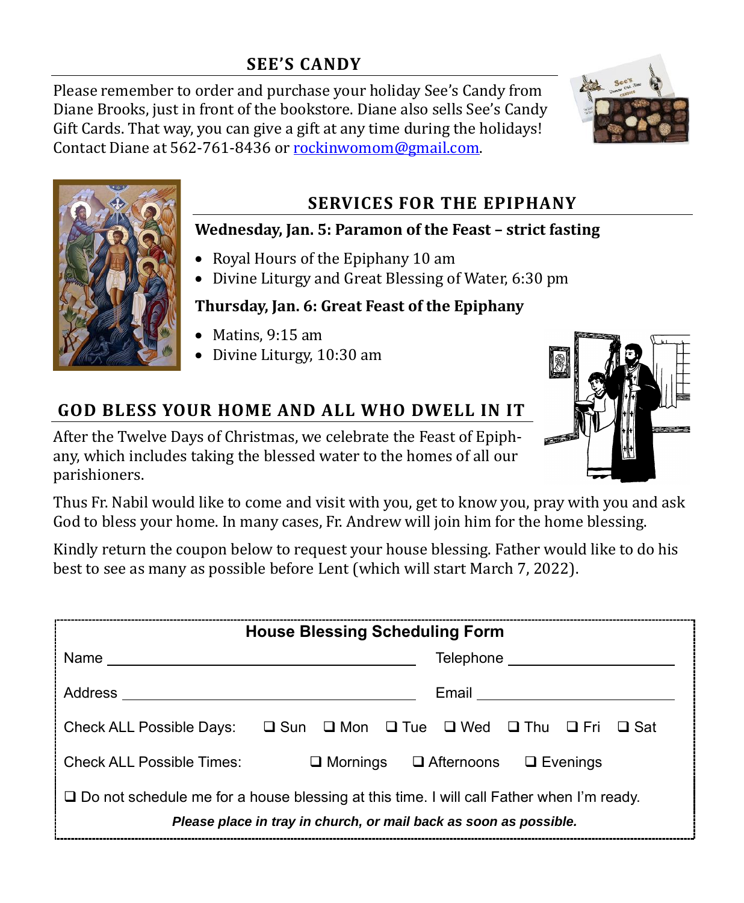### **SEE'S CANDY**

Please remember to order and purchase your holiday See's Candy from Diane Brooks, just in front of the bookstore. Diane also sells See's Candy Gift Cards. That way, you can give a gift at any time during the holidays! Contact Diane at 562-761-8436 or [rockinwomom@gmail.com.](mailto:rockinwomom@gmail.com)





### **SERVICES FOR THE EPIPHANY**

### **Wednesday, Jan. 5: Paramon of the Feast – strict fasting**

- Royal Hours of the Epiphany 10 am
- Divine Liturgy and Great Blessing of Water, 6:30 pm

### **Thursday, Jan. 6: Great Feast of the Epiphany**

- Matins, 9:15 am
- Divine Liturgy, 10:30 am

# **GOD BLESS YOUR HOME AND ALL WHO DWELL IN IT**

After the Twelve Days of Christmas, we celebrate the Feast of Epiphany, which includes taking the blessed water to the homes of all our parishioners.



Thus Fr. Nabil would like to come and visit with you, get to know you, pray with you and ask God to bless your home. In many cases, Fr. Andrew will join him for the home blessing.

Kindly return the coupon below to request your house blessing. Father would like to do his best to see as many as possible before Lent (which will start March 7, 2022).

| <b>House Blessing Scheduling Form</b>                                                                                                                           |                                                                                                                               |  |
|-----------------------------------------------------------------------------------------------------------------------------------------------------------------|-------------------------------------------------------------------------------------------------------------------------------|--|
| Name                                                                                                                                                            | Telephone                                                                                                                     |  |
| <b>Address</b>                                                                                                                                                  | Email                                                                                                                         |  |
|                                                                                                                                                                 | Check ALL Possible Days: $\square$ Sun $\square$ Mon $\square$ Tue $\square$ Wed $\square$ Thu $\square$ Fri<br>$\square$ Sat |  |
| Check ALL Possible Times:                                                                                                                                       | $\Box$ Mornings $\Box$ Afternoons $\Box$ Evenings                                                                             |  |
| □ Do not schedule me for a house blessing at this time. I will call Father when I'm ready.<br>Please place in tray in church, or mail back as soon as possible. |                                                                                                                               |  |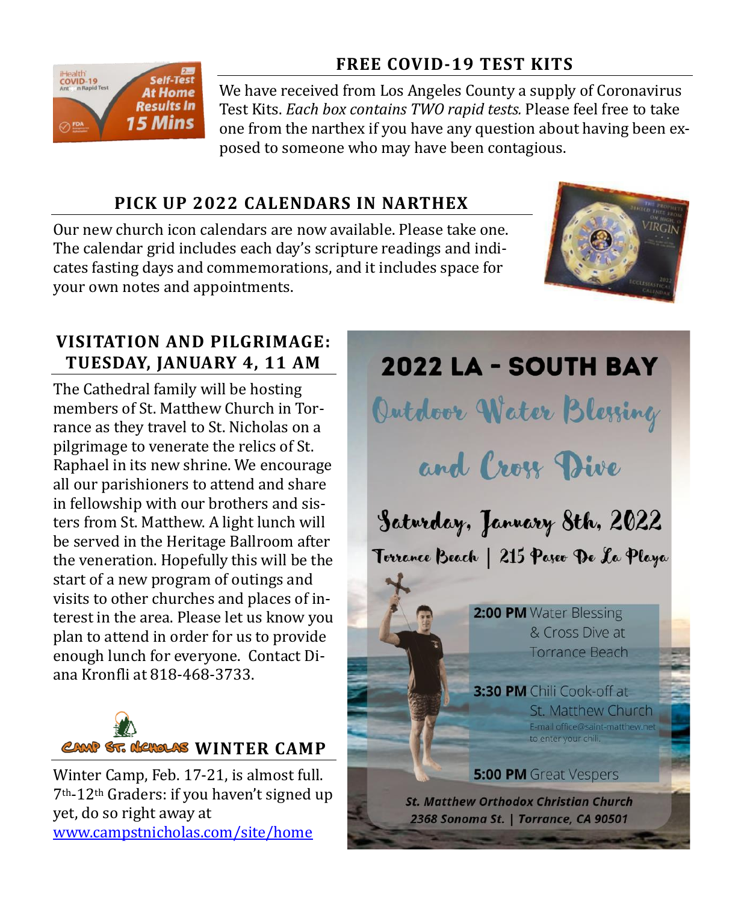### **FREE COVID-19 TEST KITS**



We have received from Los Angeles County a supply of Coronavirus Test Kits. *Each box contains TWO rapid tests.* Please feel free to take one from the narthex if you have any question about having been exposed to someone who may have been contagious.

### **PICK UP 2022 CALENDARS IN NARTHEX**

Our new church icon calendars are now available. Please take one. The calendar grid includes each day's scripture readings and indicates fasting days and commemorations, and it includes space for your own notes and appointments.



# **VISITATION AND PILGRIMAGE: TUESDAY, JANUARY 4, 11 AM**

The Cathedral family will be hosting members of St. Matthew Church in Torrance as they travel to St. Nicholas on a pilgrimage to venerate the relics of St. Raphael in its new shrine. We encourage all our parishioners to attend and share in fellowship with our brothers and sisters from St. Matthew. A light lunch will be served in the Heritage Ballroom after the veneration. Hopefully this will be the start of a new program of outings and visits to other churches and places of interest in the area. Please let us know you plan to attend in order for us to provide enough lunch for everyone. Contact Diana Kronfli at 818-468-3733.



Winter Camp, Feb. 17-21, is almost full. 7th-12th Graders: if you haven't signed up yet, do so right away at [www.campstnicholas.com/site/home](http://www.campstnicholas.com/site/home)

**2022 LA - SOUTH BAY** 

Outdoor Water Blessing

and Cross Dive

Saturday, January 8th, 2022 Torrance Beach | 215 Paseo De La Playa

> 2:00 PM Water Blessing & Cross Dive at **Torrance Beach**

3:30 PM Chili Cook-off at St. Matthew Church E-mail office@saint-matthew.net to enter your chill

**5:00 PM** Great Vespers

**St. Matthew Orthodox Christian Church** 2368 Sonoma St. | Torrance, CA 90501